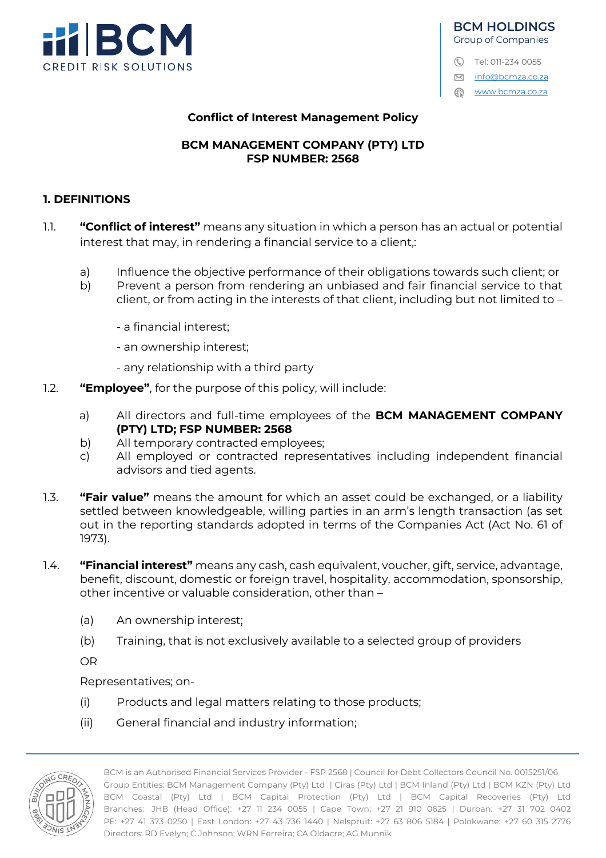

# **BCM HOLDINGS** Group of Companies C Tel: 011-234 0055

M info@bcmza.co.za www.bcmza.co.za

#### **Conflict of Interest Management Policy**

#### **BCM MANAGEMENT COMPANY (PTY) LTD FSP NUMBER: 2568**

#### **1. DEFINITIONS**

- 1.1. **"Conflict of interest"** means any situation in which a person has an actual or potential interest that may, in rendering a financial service to a client,:
	- a) Influence the objective performance of their obligations towards such client; or
	- b) Prevent a person from rendering an unbiased and fair financial service to that client, or from acting in the interests of that client, including but not limited to –
		- a financial interest;
		- an ownership interest;
		- any relationship with a third party
- 1.2. **"Employee"**, for the purpose of this policy, will include:
	- a) All directors and full-time employees of the **BCM MANAGEMENT COMPANY (PTY) LTD; FSP NUMBER: 2568**
	- b) All temporary contracted employees;
	- c) All employed or contracted representatives including independent financial advisors and tied agents.
- 1.3. **"Fair value"** means the amount for which an asset could be exchanged, or a liability settled between knowledgeable, willing parties in an arm's length transaction (as set out in the reporting standards adopted in terms of the Companies Act (Act No. 61 of 1973).
- 1.4. **"Financial interest"** means any cash, cash equivalent, voucher, gift, service, advantage, benefit, discount, domestic or foreign travel, hospitality, accommodation, sponsorship, other incentive or valuable consideration, other than –
	- (a) An ownership interest;
	- (b) Training, that is not exclusively available to a selected group of providers

OR

Representatives; on-

- (i) Products and legal matters relating to those products;
- (ii) General financial and industry information;

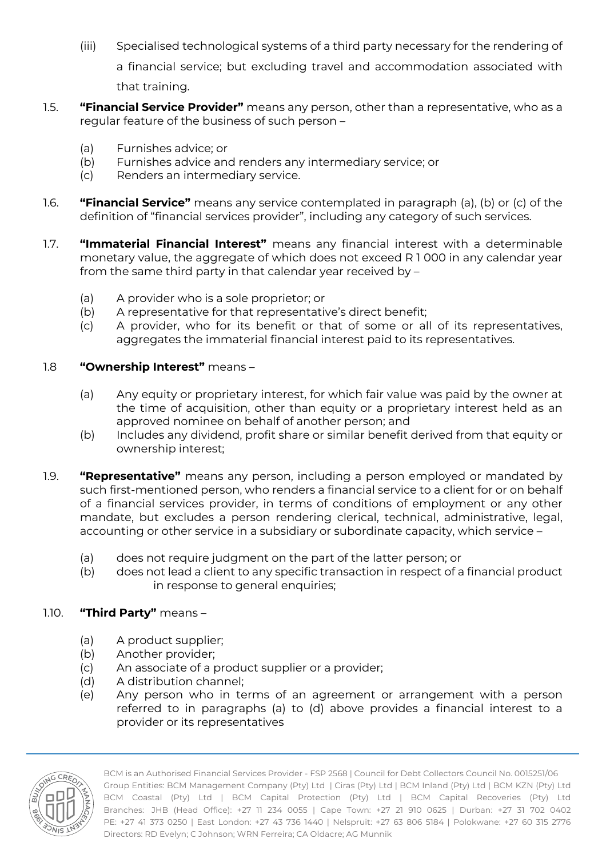(iii) Specialised technological systems of a third party necessary for the rendering of a financial service; but excluding travel and accommodation associated with

that training.

- 1.5. **"Financial Service Provider"** means any person, other than a representative, who as a regular feature of the business of such person –
	- (a) Furnishes advice; or
	- (b) Furnishes advice and renders any intermediary service; or
	- (c) Renders an intermediary service.
- 1.6. **"Financial Service"** means any service contemplated in paragraph (a), (b) or (c) of the definition of "financial services provider", including any category of such services.
- 1.7. **"Immaterial Financial Interest"** means any financial interest with a determinable monetary value, the aggregate of which does not exceed R 1 000 in any calendar year from the same third party in that calendar year received by –
	- (a) A provider who is a sole proprietor; or
	- (b) A representative for that representative's direct benefit;
	- (c) A provider, who for its benefit or that of some or all of its representatives, aggregates the immaterial financial interest paid to its representatives.

# 1.8 **"Ownership Interest"** means –

- (a) Any equity or proprietary interest, for which fair value was paid by the owner at the time of acquisition, other than equity or a proprietary interest held as an approved nominee on behalf of another person; and
- (b) Includes any dividend, profit share or similar benefit derived from that equity or ownership interest;
- 1.9. **"Representative"** means any person, including a person employed or mandated by such first-mentioned person, who renders a financial service to a client for or on behalf of a financial services provider, in terms of conditions of employment or any other mandate, but excludes a person rendering clerical, technical, administrative, legal, accounting or other service in a subsidiary or subordinate capacity, which service –
	- (a) does not require judgment on the part of the latter person; or
	- (b) does not lead a client to any specific transaction in respect of a financial product in response to general enquiries;

# 1.10. **"Third Party"** means –

- (a) A product supplier;
- (b) Another provider;
- (c) An associate of a product supplier or a provider;
- (d) A distribution channel;
- (e) Any person who in terms of an agreement or arrangement with a person referred to in paragraphs (a) to (d) above provides a financial interest to a provider or its representatives

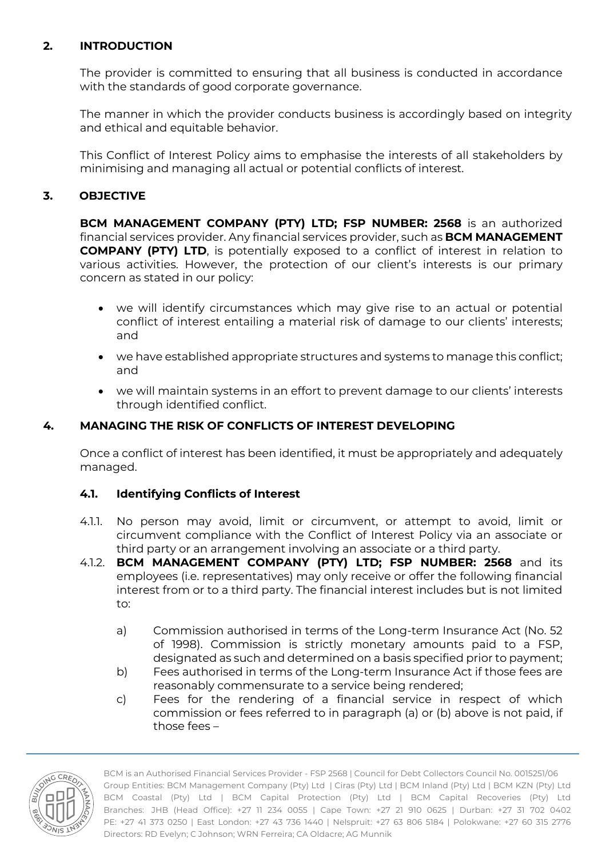# **2. INTRODUCTION**

The provider is committed to ensuring that all business is conducted in accordance with the standards of good corporate governance.

The manner in which the provider conducts business is accordingly based on integrity and ethical and equitable behavior.

This Conflict of Interest Policy aims to emphasise the interests of all stakeholders by minimising and managing all actual or potential conflicts of interest.

# **3. OBJECTIVE**

**BCM MANAGEMENT COMPANY (PTY) LTD; FSP NUMBER: 2568** is an authorized financial services provider. Any financial services provider, such as **BCM MANAGEMENT COMPANY (PTY) LTD**, is potentially exposed to a conflict of interest in relation to various activities. However, the protection of our client's interests is our primary concern as stated in our policy:

- we will identify circumstances which may give rise to an actual or potential conflict of interest entailing a material risk of damage to our clients' interests; and
- we have established appropriate structures and systems to manage this conflict; and
- we will maintain systems in an effort to prevent damage to our clients' interests through identified conflict.

#### **4. MANAGING THE RISK OF CONFLICTS OF INTEREST DEVELOPING**

Once a conflict of interest has been identified, it must be appropriately and adequately managed.

# **4.1. Identifying Conflicts of Interest**

- 4.1.1. No person may avoid, limit or circumvent, or attempt to avoid, limit or circumvent compliance with the Conflict of Interest Policy via an associate or third party or an arrangement involving an associate or a third party.
- 4.1.2. **BCM MANAGEMENT COMPANY (PTY) LTD; FSP NUMBER: 2568** and its employees (i.e. representatives) may only receive or offer the following financial interest from or to a third party. The financial interest includes but is not limited to:
	- a) Commission authorised in terms of the Long-term Insurance Act (No. 52 of 1998). Commission is strictly monetary amounts paid to a FSP, designated as such and determined on a basis specified prior to payment;
	- b) Fees authorised in terms of the Long-term Insurance Act if those fees are reasonably commensurate to a service being rendered;
	- c) Fees for the rendering of a financial service in respect of which commission or fees referred to in paragraph (a) or (b) above is not paid, if those fees –

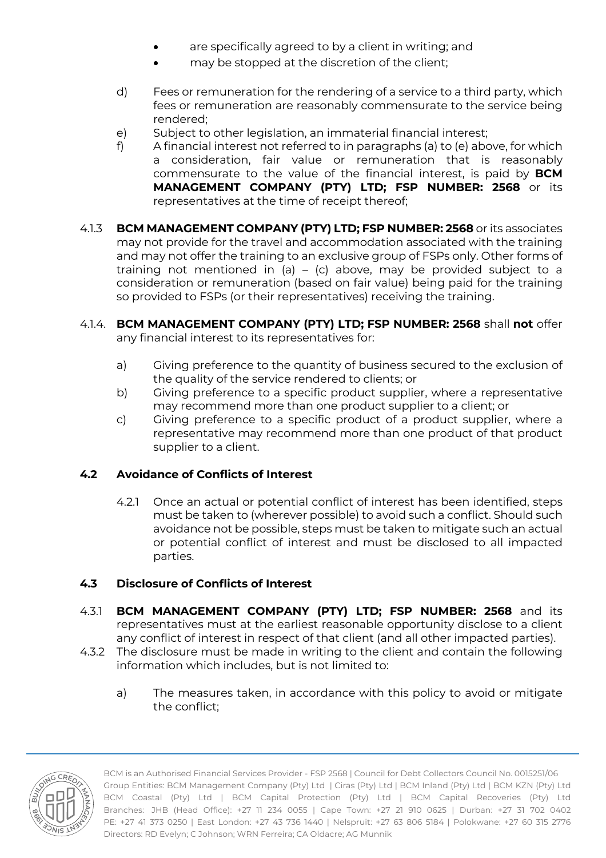- are specifically agreed to by a client in writing; and
- may be stopped at the discretion of the client;
- d) Fees or remuneration for the rendering of a service to a third party, which fees or remuneration are reasonably commensurate to the service being rendered;
- e) Subject to other legislation, an immaterial financial interest;
- f) A financial interest not referred to in paragraphs (a) to (e) above, for which a consideration, fair value or remuneration that is reasonably commensurate to the value of the financial interest, is paid by **BCM MANAGEMENT COMPANY (PTY) LTD; FSP NUMBER: 2568** or its representatives at the time of receipt thereof;
- 4.1.3 **BCM MANAGEMENT COMPANY (PTY) LTD; FSP NUMBER: 2568** or its associates may not provide for the travel and accommodation associated with the training and may not offer the training to an exclusive group of FSPs only. Other forms of training not mentioned in (a) – (c) above, may be provided subject to a consideration or remuneration (based on fair value) being paid for the training so provided to FSPs (or their representatives) receiving the training.
- 4.1.4. **BCM MANAGEMENT COMPANY (PTY) LTD; FSP NUMBER: 2568** shall **not** offer any financial interest to its representatives for:
	- a) Giving preference to the quantity of business secured to the exclusion of the quality of the service rendered to clients; or
	- b) Giving preference to a specific product supplier, where a representative may recommend more than one product supplier to a client; or
	- c) Giving preference to a specific product of a product supplier, where a representative may recommend more than one product of that product supplier to a client.

# **4.2 Avoidance of Conflicts of Interest**

4.2.1 Once an actual or potential conflict of interest has been identified, steps must be taken to (wherever possible) to avoid such a conflict. Should such avoidance not be possible, steps must be taken to mitigate such an actual or potential conflict of interest and must be disclosed to all impacted parties.

# **4.3 Disclosure of Conflicts of Interest**

- 4.3.1 **BCM MANAGEMENT COMPANY (PTY) LTD; FSP NUMBER: 2568** and its representatives must at the earliest reasonable opportunity disclose to a client any conflict of interest in respect of that client (and all other impacted parties).
- 4.3.2 The disclosure must be made in writing to the client and contain the following information which includes, but is not limited to:
	- a) The measures taken, in accordance with this policy to avoid or mitigate the conflict;

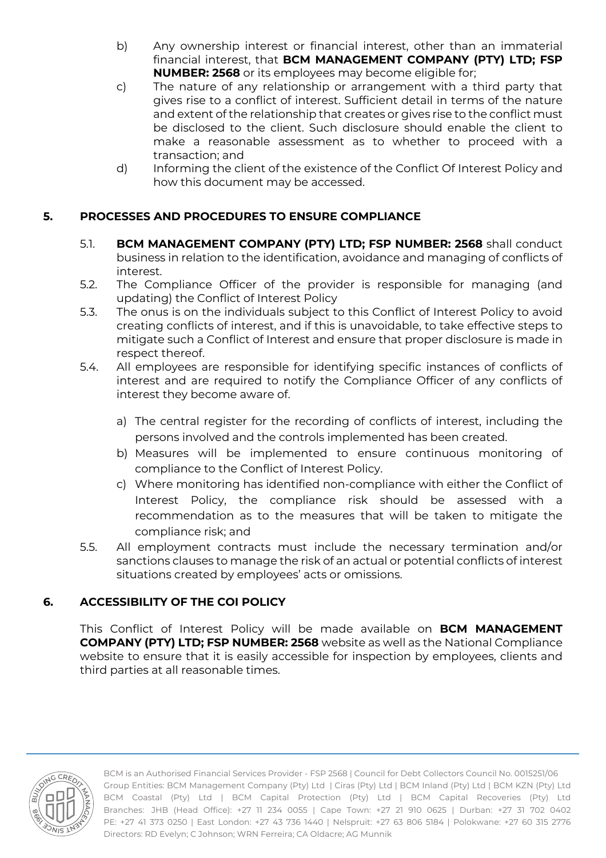- b) Any ownership interest or financial interest, other than an immaterial financial interest, that **BCM MANAGEMENT COMPANY (PTY) LTD; FSP NUMBER: 2568** or its employees may become eligible for;
- c) The nature of any relationship or arrangement with a third party that gives rise to a conflict of interest. Sufficient detail in terms of the nature and extent of the relationship that creates or gives rise to the conflict must be disclosed to the client. Such disclosure should enable the client to make a reasonable assessment as to whether to proceed with a transaction; and
- d) Informing the client of the existence of the Conflict Of Interest Policy and how this document may be accessed.

#### **5. PROCESSES AND PROCEDURES TO ENSURE COMPLIANCE**

- 5.1. **BCM MANAGEMENT COMPANY (PTY) LTD; FSP NUMBER: 2568** shall conduct business in relation to the identification, avoidance and managing of conflicts of interest.
- 5.2. The Compliance Officer of the provider is responsible for managing (and updating) the Conflict of Interest Policy
- 5.3. The onus is on the individuals subject to this Conflict of Interest Policy to avoid creating conflicts of interest, and if this is unavoidable, to take effective steps to mitigate such a Conflict of Interest and ensure that proper disclosure is made in respect thereof.
- 5.4. All employees are responsible for identifying specific instances of conflicts of interest and are required to notify the Compliance Officer of any conflicts of interest they become aware of.
	- a) The central register for the recording of conflicts of interest, including the persons involved and the controls implemented has been created.
	- b) Measures will be implemented to ensure continuous monitoring of compliance to the Conflict of Interest Policy.
	- c) Where monitoring has identified non-compliance with either the Conflict of Interest Policy, the compliance risk should be assessed with a recommendation as to the measures that will be taken to mitigate the compliance risk; and
- 5.5. All employment contracts must include the necessary termination and/or sanctions clauses to manage the risk of an actual or potential conflicts of interest situations created by employees' acts or omissions.

#### **6. ACCESSIBILITY OF THE COI POLICY**

This Conflict of Interest Policy will be made available on **BCM MANAGEMENT COMPANY (PTY) LTD; FSP NUMBER: 2568** website as well as the National Compliance website to ensure that it is easily accessible for inspection by employees, clients and third parties at all reasonable times.